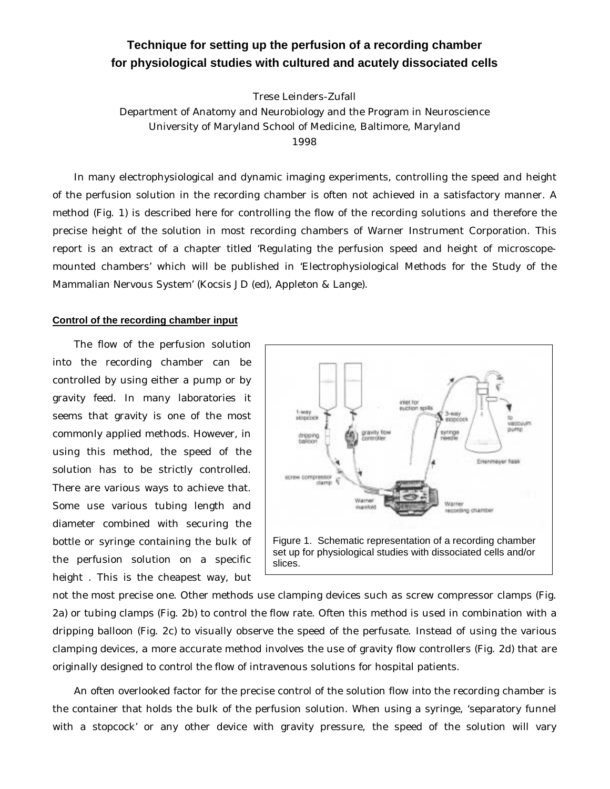## **Technique for setting up the perfusion of a recording chamber for physiological studies with cultured and acutely dissociated cells**

Trese Leinders-Zufall

Department of Anatomy and Neurobiology and the Program in Neuroscience University of Maryland School of Medicine, Baltimore, Maryland 1998

In many electrophysiological and dynamic imaging experiments, controlling the speed and height of the perfusion solution in the recording chamber is often not achieved in a satisfactory manner. A method (Fig. 1) is described here for controlling the flow of the recording solutions and therefore the precise height of the solution in most recording chambers of Warner Instrument Corporation. This report is an extract of a chapter titled 'Regulating the perfusion speed and height of microscopemounted chambers' which will be published in 'Electrophysiological Methods for the Study of the Mammalian Nervous System' (Kocsis JD (ed), Appleton & Lange).

## **Control of the recording chamber input**

The flow of the perfusion solution into the recording chamber can be controlled by using either a pump or by gravity feed. In many laboratories it seems that gravity is one of the most commonly applied methods. However, in using this method, the speed of the solution has to be strictly controlled. There are various ways to achieve that. Some use various tubing length and diameter combined with securing the bottle or syringe containing the bulk of the perfusion solution on a specific height . This is the cheapest way, but



not the most precise one. Other methods use clamping devices such as screw compressor clamps (Fig. 2a) or tubing clamps (Fig. 2b) to control the flow rate. Often this method is used in combination with a dripping balloon (Fig. 2c) to visually observe the speed of the perfusate. Instead of using the various clamping devices, a more accurate method involves the use of gravity flow controllers (Fig. 2d) that are originally designed to control the flow of intravenous solutions for hospital patients.

An often overlooked factor for the precise control of the solution flow into the recording chamber is the container that holds the bulk of the perfusion solution. When using a syringe, 'separatory funnel with a stopcock' or any other device with gravity pressure, the speed of the solution will vary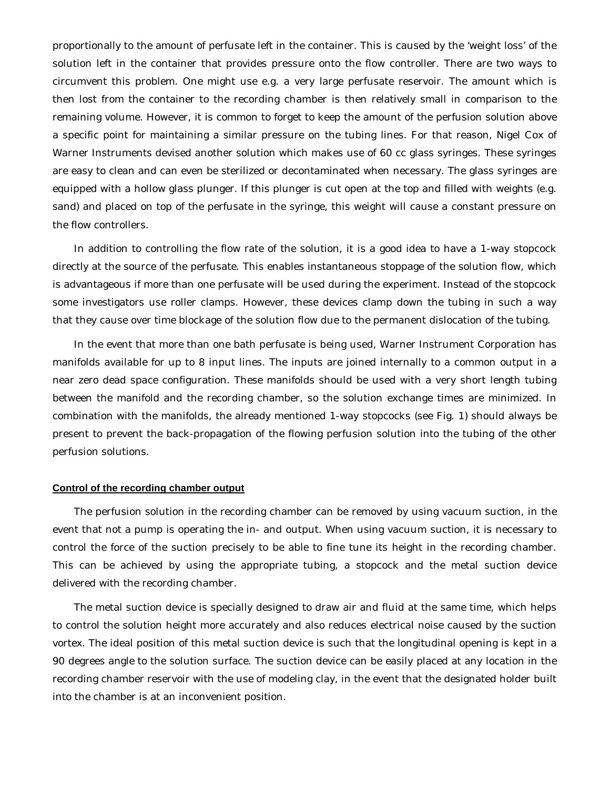proportionally to the amount of perfusate left in the container. This is caused by the 'weight loss' of the solution left in the container that provides pressure onto the flow controller. There are two ways to circumvent this problem. One might use e.g. a very large perfusate reservoir. The amount which is then lost from the container to the recording chamber is then relatively small in comparison to the remaining volume. However, it is common to forget to keep the amount of the perfusion solution above a specific point for maintaining a similar pressure on the tubing lines. For that reason, Nigel Cox of Warner Instruments devised another solution which makes use of 60 cc glass syringes. These syringes are easy to clean and can even be sterilized or decontaminated when necessary. The glass syringes are equipped with a hollow glass plunger. If this plunger is cut open at the top and filled with weights (e.g. sand) and placed on top of the perfusate in the syringe, this weight will cause a constant pressure on the flow controllers.

In addition to controlling the flow rate of the solution, it is a good idea to have a 1-way stopcock directly at the source of the perfusate. This enables instantaneous stoppage of the solution flow, which is advantageous if more than one perfusate will be used during the experiment. Instead of the stopcock some investigators use roller clamps. However, these devices clamp down the tubing in such a way that they cause over time blockage of the solution flow due to the permanent dislocation of the tubing.

In the event that more than one bath perfusate is being used, Warner Instrument Corporation has manifolds available for up to 8 input lines. The inputs are joined internally to a common output in a near zero dead space configuration. These manifolds should be used with a very short length tubing between the manifold and the recording chamber, so the solution exchange times are minimized. In combination with the manifolds, the already mentioned 1-way stopcocks (see Fig. 1) should always be present to prevent the back-propagation of the flowing perfusion solution into the tubing of the other perfusion solutions.

## **Control of the recording chamber output**

The perfusion solution in the recording chamber can be removed by using vacuum suction, in the event that not a pump is operating the in- and output. When using vacuum suction, it is necessary to control the force of the suction precisely to be able to fine tune its height in the recording chamber. This can be achieved by using the appropriate tubing, a stopcock and the metal suction device delivered with the recording chamber.

The metal suction device is specially designed to draw air and fluid at the same time, which helps to control the solution height more accurately and also reduces electrical noise caused by the suction vortex. The ideal position of this metal suction device is such that the longitudinal opening is kept in a 90 degrees angle to the solution surface. The suction device can be easily placed at any location in the recording chamber reservoir with the use of modeling clay, in the event that the designated holder built into the chamber is at an inconvenient position.